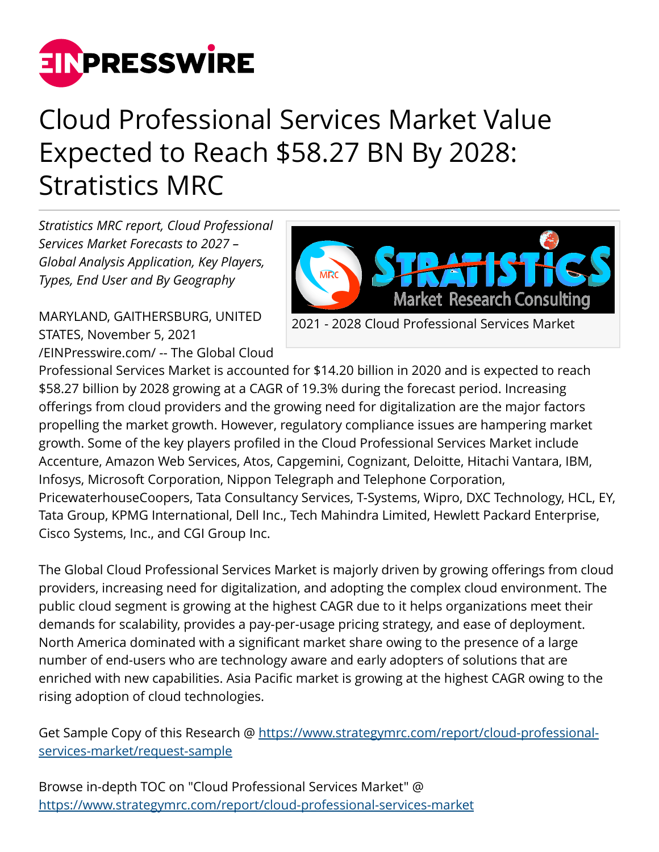

## Cloud Professional Services Market Value Expected to Reach \$58.27 BN By 2028: Stratistics MRC

*Stratistics MRC report, Cloud Professional Services Market Forecasts to 2027 – Global Analysis Application, Key Players, Types, End User and By Geography*

MARYLAND, GAITHERSBURG, UNITED STATES, November 5, 2021 [/EINPresswire.com/](http://www.einpresswire.com) -- The Global Cloud



2021 - 2028 Cloud Professional Services Market

Professional Services Market is accounted for \$14.20 billion in 2020 and is expected to reach \$58.27 billion by 2028 growing at a CAGR of 19.3% during the forecast period. Increasing offerings from cloud providers and the growing need for digitalization are the major factors propelling the market growth. However, regulatory compliance issues are hampering market growth. Some of the key players profiled in the Cloud Professional Services Market include Accenture, Amazon Web Services, Atos, Capgemini, Cognizant, Deloitte, Hitachi Vantara, IBM, Infosys, Microsoft Corporation, Nippon Telegraph and Telephone Corporation, PricewaterhouseCoopers, Tata Consultancy Services, T-Systems, Wipro, DXC Technology, HCL, EY, Tata Group, KPMG International, Dell Inc., Tech Mahindra Limited, Hewlett Packard Enterprise, Cisco Systems, Inc., and CGI Group Inc.

The Global Cloud Professional Services Market is majorly driven by growing offerings from cloud providers, increasing need for digitalization, and adopting the complex cloud environment. The public cloud segment is growing at the highest CAGR due to it helps organizations meet their demands for scalability, provides a pay-per-usage pricing strategy, and ease of deployment. North America dominated with a significant market share owing to the presence of a large number of end-users who are technology aware and early adopters of solutions that are enriched with new capabilities. Asia Pacific market is growing at the highest CAGR owing to the rising adoption of cloud technologies.

Get Sample Copy of this Research @ [https://www.strategymrc.com/report/cloud-professional](https://www.strategymrc.com/report/cloud-professional-services-market/request-sample)[services-market/request-sample](https://www.strategymrc.com/report/cloud-professional-services-market/request-sample)

Browse in-depth TOC on "Cloud Professional Services Market" @ <https://www.strategymrc.com/report/cloud-professional-services-market>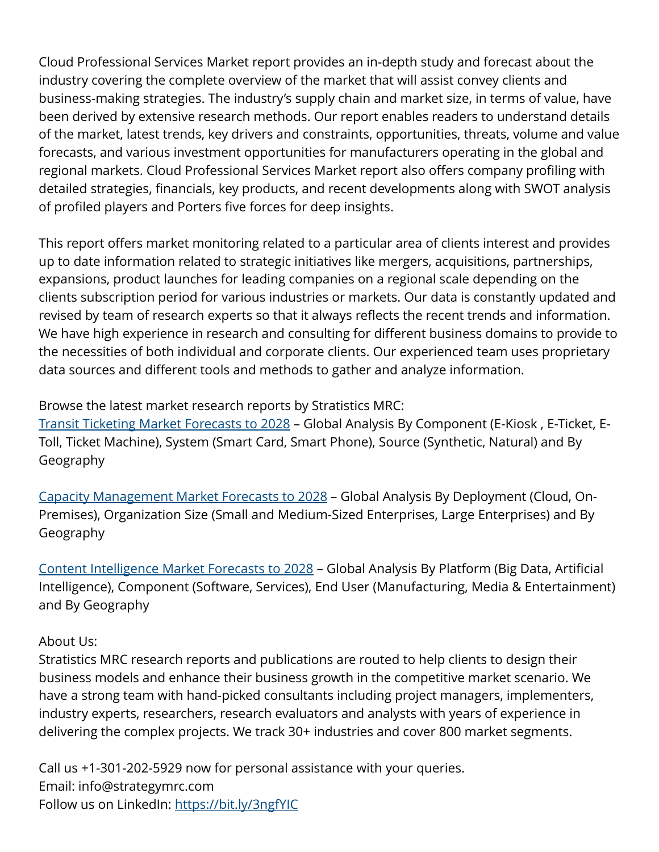Cloud Professional Services Market report provides an in-depth study and forecast about the industry covering the complete overview of the market that will assist convey clients and business-making strategies. The industry's supply chain and market size, in terms of value, have been derived by extensive research methods. Our report enables readers to understand details of the market, latest trends, key drivers and constraints, opportunities, threats, volume and value forecasts, and various investment opportunities for manufacturers operating in the global and regional markets. Cloud Professional Services Market report also offers company profiling with detailed strategies, financials, key products, and recent developments along with SWOT analysis of profiled players and Porters five forces for deep insights.

This report offers market monitoring related to a particular area of clients interest and provides up to date information related to strategic initiatives like mergers, acquisitions, partnerships, expansions, product launches for leading companies on a regional scale depending on the clients subscription period for various industries or markets. Our data is constantly updated and revised by team of research experts so that it always reflects the recent trends and information. We have high experience in research and consulting for different business domains to provide to the necessities of both individual and corporate clients. Our experienced team uses proprietary data sources and different tools and methods to gather and analyze information.

Browse the latest market research reports by Stratistics MRC:

[Transit Ticketing Market Forecasts to 2028](https://www.strategymrc.com/report/transit-ticketing-market) – Global Analysis By Component (E-Kiosk , E-Ticket, E-Toll, Ticket Machine), System (Smart Card, Smart Phone), Source (Synthetic, Natural) and By Geography

[Capacity Management Market Forecasts to 2028](https://www.strategymrc.com/report/capacity-management-market) – Global Analysis By Deployment (Cloud, On-Premises), Organization Size (Small and Medium-Sized Enterprises, Large Enterprises) and By Geography

[Content Intelligence Market Forecasts to 2028](https://www.strategymrc.com/report/content-intelligence-market) – Global Analysis By Platform (Big Data, Artificial Intelligence), Component (Software, Services), End User (Manufacturing, Media & Entertainment) and By Geography

## About Us:

Stratistics MRC research reports and publications are routed to help clients to design their business models and enhance their business growth in the competitive market scenario. We have a strong team with hand-picked consultants including project managers, implementers, industry experts, researchers, research evaluators and analysts with years of experience in delivering the complex projects. We track 30+ industries and cover 800 market segments.

Call us +1-301-202-5929 now for personal assistance with your queries. Email: info@strategymrc.com Follow us on LinkedIn: <https://bit.ly/3ngfYIC>